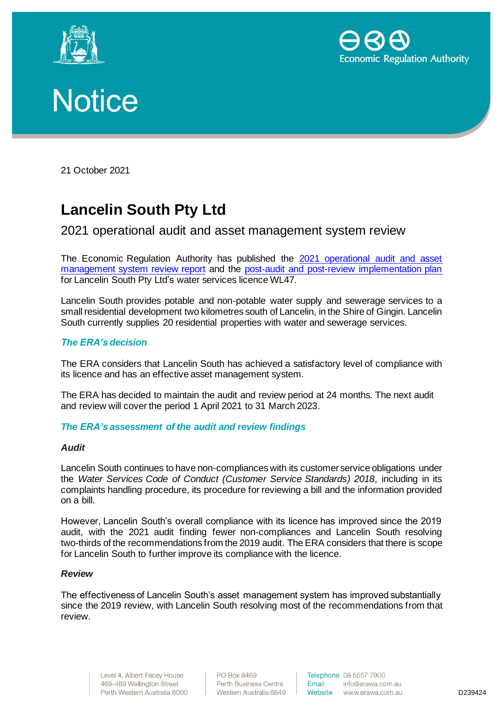





21 October 2021

# **Lancelin South Pty Ltd**

# 2021 operational audit and asset management system review

The Economic Regulation Authority has published the 2021 [operational audit and asset](http://www.erawa.com.au/cproot/22203/2/Attachment-1---2021-audit-and-review-report---WL047---Lancelin-South-Pty-Ltd-redacted-.PDF)  [management system review](http://www.erawa.com.au/cproot/22203/2/Attachment-1---2021-audit-and-review-report---WL047---Lancelin-South-Pty-Ltd-redacted-.PDF) report and the [post-audit and post-review implementation plan](http://www.erawa.com.au/cproot/22204/2/Attachment-2---2021-audit-and-review---Post-audit-and-post-review-implementation-plan---WL047---Lancelin-South-Pty-Ltd.PDF) for Lancelin South Pty Ltd's water services licence WL47.

Lancelin South provides potable and non-potable water supply and sewerage services to a small residential development two kilometres south of Lancelin, in the Shire of Gingin. Lancelin South currently supplies 20 residential properties with water and sewerage services.

## *The ERA's decision*

The ERA considers that Lancelin South has achieved a satisfactory level of compliance with its licence and has an effective asset management system.

The ERA has decided to maintain the audit and review period at 24 months. The next audit and review will cover the period 1 April 2021 to 31 March 2023.

#### *The ERA's assessment of the audit and review findings*

#### *Audit*

Lancelin South continues to have non-compliances with its customer service obligations under the *Water Services Code of Conduct (Customer Service Standards) 2018*, including in its complaints handling procedure, its procedure for reviewing a bill and the information provided on a bill.

However, Lancelin South's overall compliance with its licence has improved since the 2019 audit, with the 2021 audit finding fewer non-compliances and Lancelin South resolving two-thirds of the recommendations from the 2019 audit. The ERA considers that there is scope for Lancelin South to further improve its compliance with the licence.

#### *Review*

The effectiveness of Lancelin South's asset management system has improved substantially since the 2019 review, with Lancelin South resolving most of the recommendations from that review.

> Level 4, Albert Facey House 469-489 Wellington Street Perth Western Australia 6000